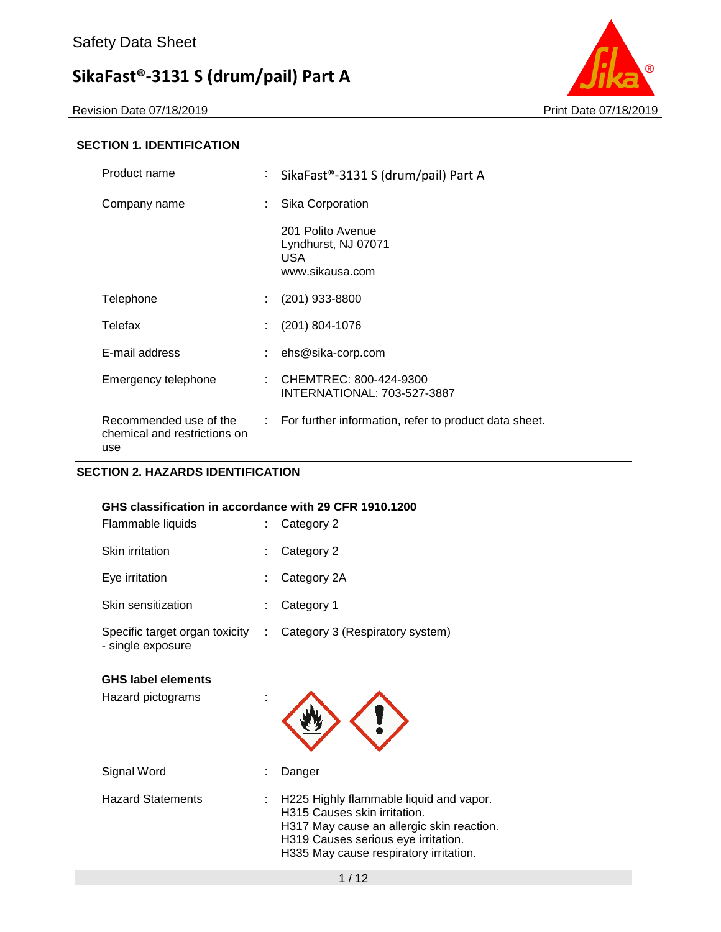Revision Date 07/18/2019 **Print Date 07/18/2019** 



### **SECTION 1. IDENTIFICATION**

| Product name                                                  | ÷ | SikaFast®-3131 S (drum/pail) Part A                                 |  |
|---------------------------------------------------------------|---|---------------------------------------------------------------------|--|
| Company name                                                  | ÷ | Sika Corporation                                                    |  |
|                                                               |   | 201 Polito Avenue<br>Lyndhurst, NJ 07071<br>USA.<br>www.sikausa.com |  |
| Telephone                                                     | ÷ | $(201)$ 933-8800                                                    |  |
| Telefax                                                       |   | $(201) 804 - 1076$                                                  |  |
| E-mail address                                                |   | ehs@sika-corp.com                                                   |  |
| Emergency telephone                                           |   | CHEMTREC: 800-424-9300<br>INTERNATIONAL: 703-527-3887               |  |
| Recommended use of the<br>chemical and restrictions on<br>use |   | : For further information, refer to product data sheet.             |  |

# **SECTION 2. HAZARDS IDENTIFICATION**

| GHS classification in accordance with 29 CFR 1910.1200<br>Flammable liquids |    | Category 2                      |
|-----------------------------------------------------------------------------|----|---------------------------------|
| <b>Skin irritation</b>                                                      |    | Category 2                      |
| Eye irritation                                                              | t  | Category 2A                     |
| Skin sensitization                                                          |    | Category 1                      |
| Specific target organ toxicity<br>- single exposure                         | ÷. | Category 3 (Respiratory system) |
| <b>GHS label elements</b>                                                   |    |                                 |
| Hazard pictograms                                                           |    |                                 |

| Signal Word              | Danger                                                                                                                                                                                                      |
|--------------------------|-------------------------------------------------------------------------------------------------------------------------------------------------------------------------------------------------------------|
| <b>Hazard Statements</b> | $\pm$ H225 Highly flammable liquid and vapor.<br>H315 Causes skin irritation.<br>H317 May cause an allergic skin reaction.<br>H319 Causes serious eye irritation.<br>H335 May cause respiratory irritation. |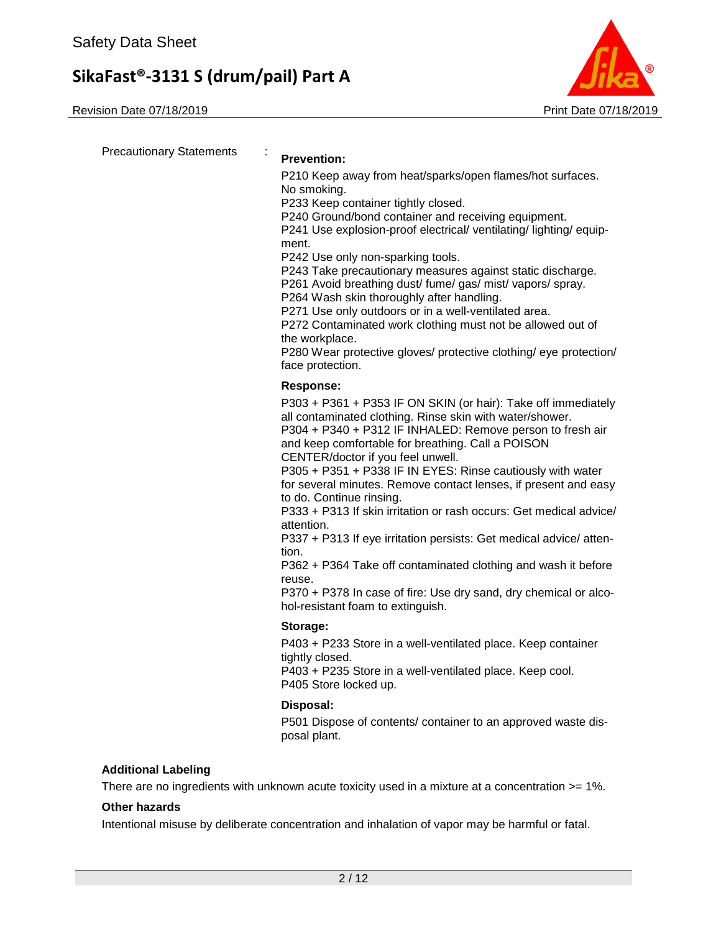Revision Date 07/18/2019 **Print Date 07/18/2019** Print Date 07/18/2019



Precautionary Statements : **Prevention:**  P210 Keep away from heat/sparks/open flames/hot surfaces. No smoking. P233 Keep container tightly closed. P240 Ground/bond container and receiving equipment. P241 Use explosion-proof electrical/ ventilating/ lighting/ equipment. P242 Use only non-sparking tools. P243 Take precautionary measures against static discharge. P261 Avoid breathing dust/ fume/ gas/ mist/ vapors/ spray. P264 Wash skin thoroughly after handling. P271 Use only outdoors or in a well-ventilated area. P272 Contaminated work clothing must not be allowed out of the workplace. P280 Wear protective gloves/ protective clothing/ eye protection/ face protection. **Response:**  P303 + P361 + P353 IF ON SKIN (or hair): Take off immediately all contaminated clothing. Rinse skin with water/shower. P304 + P340 + P312 IF INHALED: Remove person to fresh air and keep comfortable for breathing. Call a POISON CENTER/doctor if you feel unwell. P305 + P351 + P338 IF IN EYES: Rinse cautiously with water for several minutes. Remove contact lenses, if present and easy to do. Continue rinsing. P333 + P313 If skin irritation or rash occurs: Get medical advice/ attention. P337 + P313 If eye irritation persists: Get medical advice/ attention. P362 + P364 Take off contaminated clothing and wash it before reuse. P370 + P378 In case of fire: Use dry sand, dry chemical or alcohol-resistant foam to extinguish. **Storage:**  P403 + P233 Store in a well-ventilated place. Keep container tightly closed. P403 + P235 Store in a well-ventilated place. Keep cool. P405 Store locked up. **Disposal:**  P501 Dispose of contents/ container to an approved waste disposal plant. **Additional Labeling**

There are no ingredients with unknown acute toxicity used in a mixture at a concentration >= 1%.

#### **Other hazards**

Intentional misuse by deliberate concentration and inhalation of vapor may be harmful or fatal.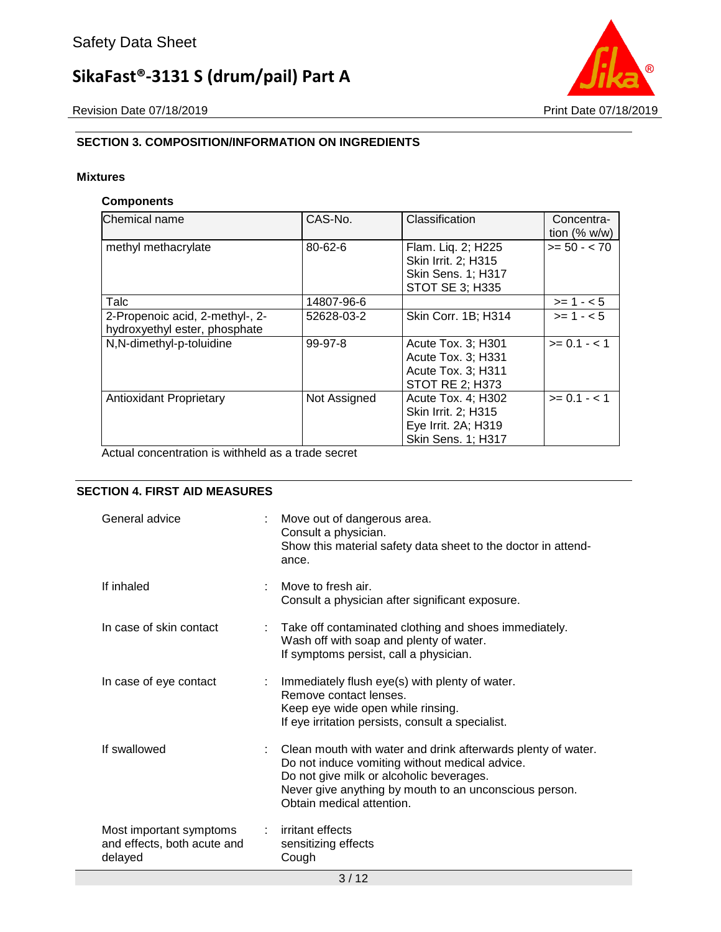Revision Date 07/18/2019 **Print Date 07/18/2019** 



# **SECTION 3. COMPOSITION/INFORMATION ON INGREDIENTS**

#### **Mixtures**

#### **Components**

| Chemical name                                                    | CAS-No.       | Classification                                                                                   | Concentra-<br>tion $(\% w/w)$ |
|------------------------------------------------------------------|---------------|--------------------------------------------------------------------------------------------------|-------------------------------|
| methyl methacrylate                                              | $80 - 62 - 6$ | Flam. Liq. 2; H225<br>Skin Irrit. 2: H315<br><b>Skin Sens. 1; H317</b><br><b>STOT SE 3; H335</b> | $>= 50 - < 70$                |
| Talc                                                             | 14807-96-6    |                                                                                                  | $>= 1 - 5$                    |
| 2-Propenoic acid, 2-methyl-, 2-<br>hydroxyethyl ester, phosphate | 52628-03-2    | Skin Corr. 1B; H314                                                                              | $>= 1 - 5$                    |
| N,N-dimethyl-p-toluidine                                         | 99-97-8       | Acute Tox. 3; H301<br>Acute Tox. 3: H331<br>Acute Tox. 3; H311<br>STOT RE 2; H373                | $>= 0.1 - 1.1$                |
| <b>Antioxidant Proprietary</b>                                   | Not Assigned  | Acute Tox. 4: H302<br>Skin Irrit. 2; H315<br>Eye Irrit. 2A; H319<br><b>Skin Sens. 1; H317</b>    | $>= 0.1 - 1.1$                |

Actual concentration is withheld as a trade secret

#### **SECTION 4. FIRST AID MEASURES**

| General advice                                                    | Move out of dangerous area.<br>Consult a physician.<br>Show this material safety data sheet to the doctor in attend-<br>ance.                                                                                                                       |
|-------------------------------------------------------------------|-----------------------------------------------------------------------------------------------------------------------------------------------------------------------------------------------------------------------------------------------------|
| If inhaled                                                        | Move to fresh air.<br>Consult a physician after significant exposure.                                                                                                                                                                               |
| In case of skin contact                                           | : Take off contaminated clothing and shoes immediately.<br>Wash off with soap and plenty of water.<br>If symptoms persist, call a physician.                                                                                                        |
| In case of eye contact                                            | : Immediately flush eye(s) with plenty of water.<br>Remove contact lenses.<br>Keep eye wide open while rinsing.<br>If eye irritation persists, consult a specialist.                                                                                |
| If swallowed                                                      | : Clean mouth with water and drink afterwards plenty of water.<br>Do not induce vomiting without medical advice.<br>Do not give milk or alcoholic beverages.<br>Never give anything by mouth to an unconscious person.<br>Obtain medical attention. |
| Most important symptoms<br>and effects, both acute and<br>delayed | : irritant effects<br>sensitizing effects<br>Cough                                                                                                                                                                                                  |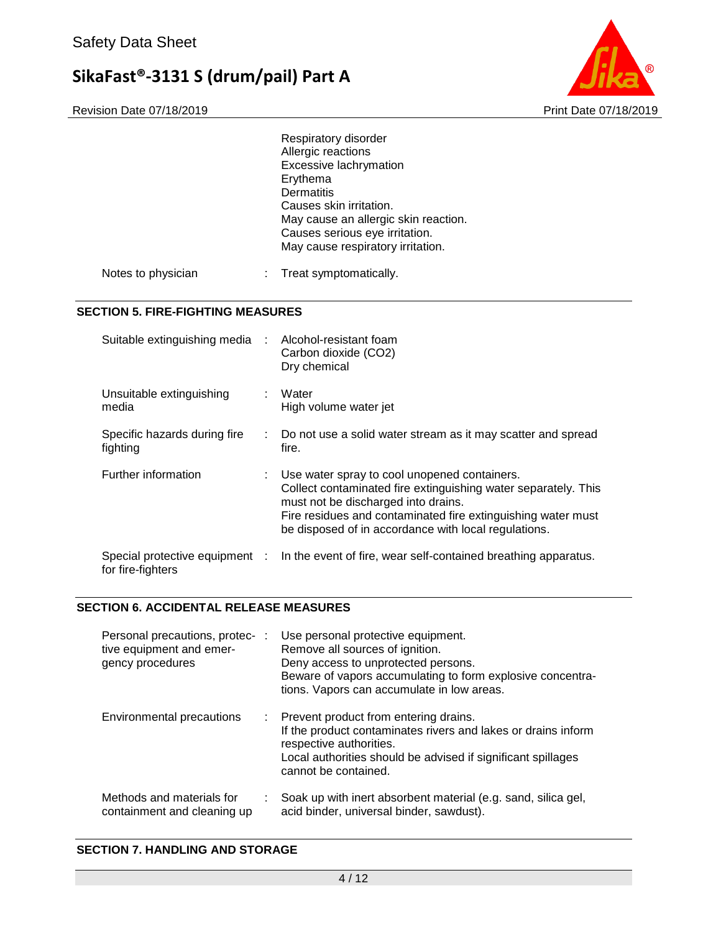

|                                          |                                | Respiratory disorder<br>Allergic reactions<br>Excessive lachrymation<br>Erythema<br><b>Dermatitis</b><br>Causes skin irritation.<br>May cause an allergic skin reaction.<br>Causes serious eye irritation.<br>May cause respiratory irritation.                               |
|------------------------------------------|--------------------------------|-------------------------------------------------------------------------------------------------------------------------------------------------------------------------------------------------------------------------------------------------------------------------------|
| Notes to physician                       |                                | Treat symptomatically.                                                                                                                                                                                                                                                        |
| <b>SECTION 5. FIRE-FIGHTING MEASURES</b> |                                |                                                                                                                                                                                                                                                                               |
|                                          | Suitable extinguishing media   | Alcohol-resistant foam<br>Carbon dioxide (CO2)<br>Dry chemical                                                                                                                                                                                                                |
| Unsuitable extinguishing<br>media        |                                | Water<br>High volume water jet                                                                                                                                                                                                                                                |
| fighting                                 | Specific hazards during fire   | Do not use a solid water stream as it may scatter and spread<br>fire.                                                                                                                                                                                                         |
| Further information                      |                                | Use water spray to cool unopened containers.<br>Collect contaminated fire extinguishing water separately. This<br>must not be discharged into drains.<br>Fire residues and contaminated fire extinguishing water must<br>be disposed of in accordance with local regulations. |
| for fire-fighters                        | Special protective equipment : | In the event of fire, wear self-contained breathing apparatus.                                                                                                                                                                                                                |

### **SECTION 6. ACCIDENTAL RELEASE MEASURES**

| Personal precautions, protec- :<br>tive equipment and emer-<br>gency procedures |   | Use personal protective equipment.<br>Remove all sources of ignition.<br>Deny access to unprotected persons.<br>Beware of vapors accumulating to form explosive concentra-<br>tions. Vapors can accumulate in low areas.  |
|---------------------------------------------------------------------------------|---|---------------------------------------------------------------------------------------------------------------------------------------------------------------------------------------------------------------------------|
| Environmental precautions                                                       | ÷ | Prevent product from entering drains.<br>If the product contaminates rivers and lakes or drains inform<br>respective authorities.<br>Local authorities should be advised if significant spillages<br>cannot be contained. |
| Methods and materials for<br>containment and cleaning up                        |   | Soak up with inert absorbent material (e.g. sand, silica gel,<br>acid binder, universal binder, sawdust).                                                                                                                 |

### **SECTION 7. HANDLING AND STORAGE**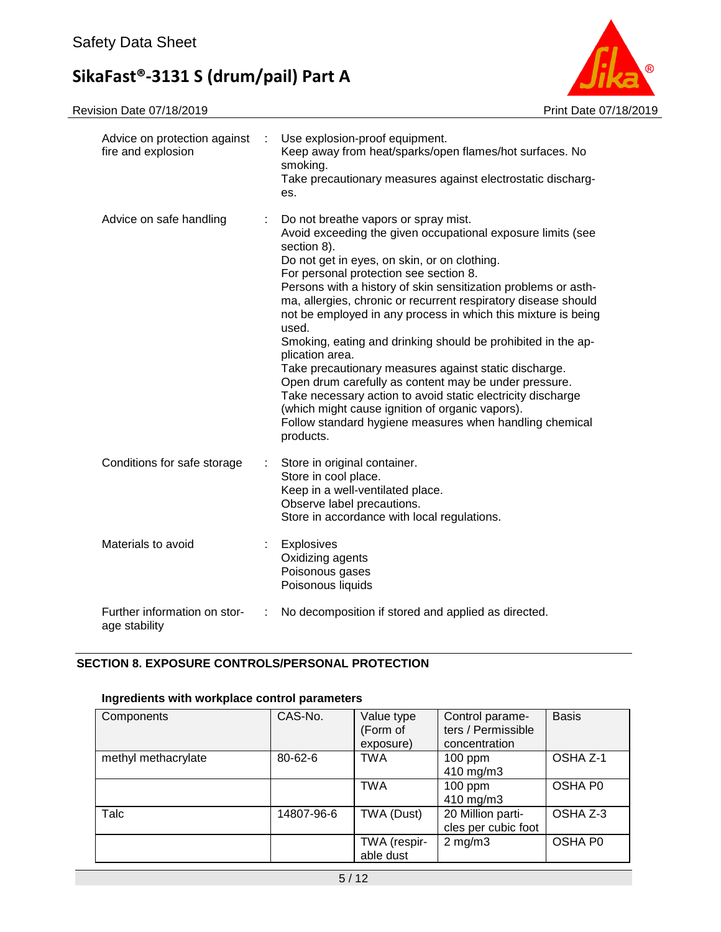

| Advice on protection against<br>fire and explosion | Use explosion-proof equipment.<br>Keep away from heat/sparks/open flames/hot surfaces. No<br>smoking.<br>Take precautionary measures against electrostatic discharg-<br>es.                                                                                                                                                                                                                                                                                                                                                                                                                                                                                                                                                                                                                                               |
|----------------------------------------------------|---------------------------------------------------------------------------------------------------------------------------------------------------------------------------------------------------------------------------------------------------------------------------------------------------------------------------------------------------------------------------------------------------------------------------------------------------------------------------------------------------------------------------------------------------------------------------------------------------------------------------------------------------------------------------------------------------------------------------------------------------------------------------------------------------------------------------|
| Advice on safe handling                            | Do not breathe vapors or spray mist.<br>Avoid exceeding the given occupational exposure limits (see<br>section 8).<br>Do not get in eyes, on skin, or on clothing.<br>For personal protection see section 8.<br>Persons with a history of skin sensitization problems or asth-<br>ma, allergies, chronic or recurrent respiratory disease should<br>not be employed in any process in which this mixture is being<br>used.<br>Smoking, eating and drinking should be prohibited in the ap-<br>plication area.<br>Take precautionary measures against static discharge.<br>Open drum carefully as content may be under pressure.<br>Take necessary action to avoid static electricity discharge<br>(which might cause ignition of organic vapors).<br>Follow standard hygiene measures when handling chemical<br>products. |
| Conditions for safe storage                        | Store in original container.<br>Store in cool place.<br>Keep in a well-ventilated place.<br>Observe label precautions.<br>Store in accordance with local regulations.                                                                                                                                                                                                                                                                                                                                                                                                                                                                                                                                                                                                                                                     |
| Materials to avoid                                 | Explosives<br>Oxidizing agents<br>Poisonous gases<br>Poisonous liquids                                                                                                                                                                                                                                                                                                                                                                                                                                                                                                                                                                                                                                                                                                                                                    |
| Further information on stor-<br>age stability      | No decomposition if stored and applied as directed.                                                                                                                                                                                                                                                                                                                                                                                                                                                                                                                                                                                                                                                                                                                                                                       |

# **SECTION 8. EXPOSURE CONTROLS/PERSONAL PROTECTION**

### **Ingredients with workplace control parameters**

| Components          | CAS-No.       | Value type<br>(Form of<br>exposure) | Control parame-<br>ters / Permissible<br>concentration | <b>Basis</b> |
|---------------------|---------------|-------------------------------------|--------------------------------------------------------|--------------|
| methyl methacrylate | $80 - 62 - 6$ | <b>TWA</b>                          | $100$ ppm<br>410 mg/m3                                 | OSHA Z-1     |
|                     |               | <b>TWA</b>                          | $100$ ppm<br>410 mg/m3                                 | OSHA P0      |
| Talc                | 14807-96-6    | TWA (Dust)                          | 20 Million parti-<br>cles per cubic foot               | OSHA Z-3     |
|                     |               | TWA (respir-<br>able dust           | $2$ mg/m $3$                                           | OSHA P0      |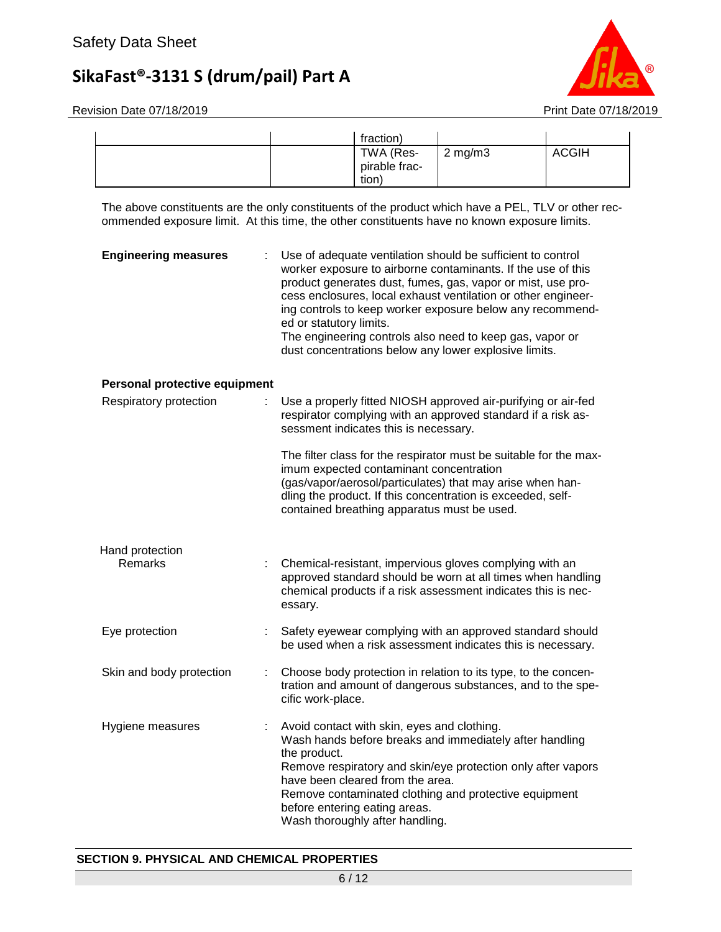

Revision Date 07/18/2019 **Print Date 07/18/2019** 

| fraction)                           |                    |              |
|-------------------------------------|--------------------|--------------|
| TWA (Res-<br>pirable frac-<br>tion) | $2 \text{ mg/m}$ 3 | <b>ACGIH</b> |

The above constituents are the only constituents of the product which have a PEL, TLV or other recommended exposure limit. At this time, the other constituents have no known exposure limits.

| <b>Engineering measures</b>       | Use of adequate ventilation should be sufficient to control<br>worker exposure to airborne contaminants. If the use of this<br>product generates dust, fumes, gas, vapor or mist, use pro-<br>cess enclosures, local exhaust ventilation or other engineer-<br>ing controls to keep worker exposure below any recommend-<br>ed or statutory limits.<br>The engineering controls also need to keep gas, vapor or<br>dust concentrations below any lower explosive limits. |
|-----------------------------------|--------------------------------------------------------------------------------------------------------------------------------------------------------------------------------------------------------------------------------------------------------------------------------------------------------------------------------------------------------------------------------------------------------------------------------------------------------------------------|
| Personal protective equipment     |                                                                                                                                                                                                                                                                                                                                                                                                                                                                          |
| Respiratory protection<br>÷       | Use a properly fitted NIOSH approved air-purifying or air-fed<br>respirator complying with an approved standard if a risk as-<br>sessment indicates this is necessary.                                                                                                                                                                                                                                                                                                   |
|                                   | The filter class for the respirator must be suitable for the max-<br>imum expected contaminant concentration<br>(gas/vapor/aerosol/particulates) that may arise when han-<br>dling the product. If this concentration is exceeded, self-<br>contained breathing apparatus must be used.                                                                                                                                                                                  |
| Hand protection<br><b>Remarks</b> | Chemical-resistant, impervious gloves complying with an<br>approved standard should be worn at all times when handling<br>chemical products if a risk assessment indicates this is nec-<br>essary.                                                                                                                                                                                                                                                                       |
| Eye protection                    | Safety eyewear complying with an approved standard should<br>be used when a risk assessment indicates this is necessary.                                                                                                                                                                                                                                                                                                                                                 |
| Skin and body protection<br>÷     | Choose body protection in relation to its type, to the concen-<br>tration and amount of dangerous substances, and to the spe-<br>cific work-place.                                                                                                                                                                                                                                                                                                                       |
| Hygiene measures                  | Avoid contact with skin, eyes and clothing.<br>Wash hands before breaks and immediately after handling<br>the product.<br>Remove respiratory and skin/eye protection only after vapors<br>have been cleared from the area.<br>Remove contaminated clothing and protective equipment<br>before entering eating areas.<br>Wash thoroughly after handling.                                                                                                                  |

#### **SECTION 9. PHYSICAL AND CHEMICAL PROPERTIES**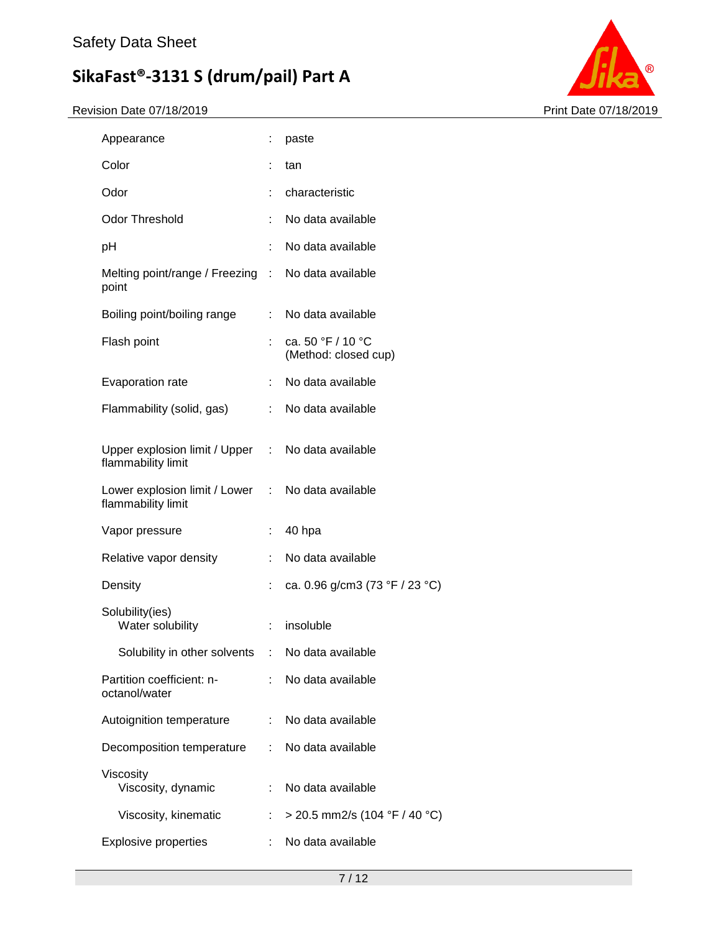

| Appearance                                                              | t                         | paste                                     |
|-------------------------------------------------------------------------|---------------------------|-------------------------------------------|
| Color                                                                   |                           | tan                                       |
| Odor                                                                    | ÷                         | characteristic                            |
| <b>Odor Threshold</b>                                                   | t                         | No data available                         |
| pH                                                                      |                           | No data available                         |
| Melting point/range / Freezing : No data available<br>point             |                           |                                           |
| Boiling point/boiling range                                             | t.                        | No data available                         |
| Flash point                                                             | ÷                         | ca. 50 °F / 10 °C<br>(Method: closed cup) |
| Evaporation rate                                                        | ÷.                        | No data available                         |
| Flammability (solid, gas)                                               | t.                        | No data available                         |
| Upper explosion limit / Upper : No data available<br>flammability limit |                           |                                           |
| Lower explosion limit / Lower : No data available<br>flammability limit |                           |                                           |
| Vapor pressure                                                          | ÷                         | 40 hpa                                    |
| Relative vapor density                                                  | ÷.                        | No data available                         |
| Density                                                                 | t                         | ca. 0.96 g/cm3 (73 °F / 23 °C)            |
| Solubility(ies)<br>Water solubility                                     | t,                        | insoluble                                 |
| Solubility in other solvents                                            | $\mathbb{Z}^{\mathbb{Z}}$ | No data available                         |
| Partition coefficient: n-<br>octanol/water                              | t.                        | No data available                         |
| Autoignition temperature                                                | t.                        | No data available                         |
| Decomposition temperature                                               | ÷.                        | No data available                         |
| Viscosity<br>Viscosity, dynamic                                         | ÷                         | No data available                         |
| Viscosity, kinematic                                                    |                           | > 20.5 mm2/s (104 °F / 40 °C)             |
| <b>Explosive properties</b>                                             |                           | No data available                         |
|                                                                         |                           |                                           |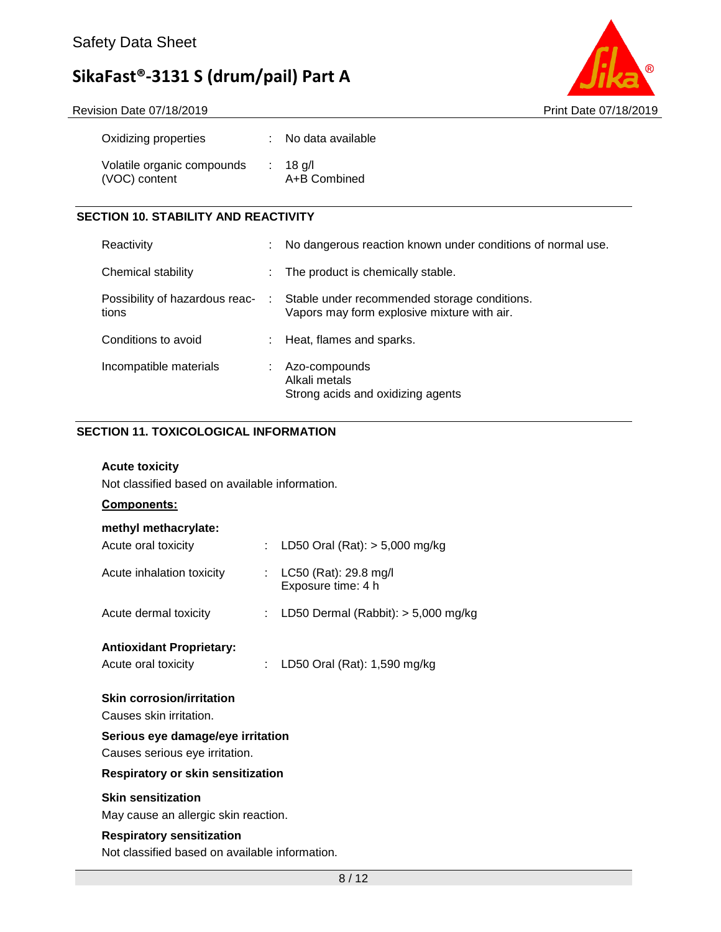Revision Date 07/18/2019 **Print Date 07/18/2019** 



| Oxidizing properties                        | No data available          |
|---------------------------------------------|----------------------------|
| Volatile organic compounds<br>(VOC) content | $: 18$ g/l<br>A+B Combined |

# **SECTION 10. STABILITY AND REACTIVITY**

| Reactivity                              |    | No dangerous reaction known under conditions of normal use.                                 |
|-----------------------------------------|----|---------------------------------------------------------------------------------------------|
| Chemical stability                      |    | The product is chemically stable.                                                           |
| Possibility of hazardous reac-<br>tions | ÷. | Stable under recommended storage conditions.<br>Vapors may form explosive mixture with air. |
| Conditions to avoid                     |    | Heat, flames and sparks.                                                                    |
| Incompatible materials                  |    | Azo-compounds<br>Alkali metals<br>Strong acids and oxidizing agents                         |

### **SECTION 11. TOXICOLOGICAL INFORMATION**

### **Acute toxicity**

Not classified based on available information.

# **Components:**

#### **methyl methacrylate:**

| Respiratory or skin sensitization                                   |  |                                                 |  |
|---------------------------------------------------------------------|--|-------------------------------------------------|--|
| Serious eye damage/eye irritation<br>Causes serious eye irritation. |  |                                                 |  |
| <b>Skin corrosion/irritation</b><br>Causes skin irritation.         |  |                                                 |  |
| <b>Antioxidant Proprietary:</b><br>Acute oral toxicity              |  | LD50 Oral (Rat): 1,590 mg/kg                    |  |
| Acute dermal toxicity                                               |  | : LD50 Dermal (Rabbit): $>$ 5,000 mg/kg         |  |
| Acute inhalation toxicity                                           |  | : $LC50$ (Rat): 29.8 mg/l<br>Exposure time: 4 h |  |
| Acute oral toxicity                                                 |  | : LD50 Oral (Rat): $> 5,000$ mg/kg              |  |

### **Skin sensitization**

May cause an allergic skin reaction.

### **Respiratory sensitization**

Not classified based on available information.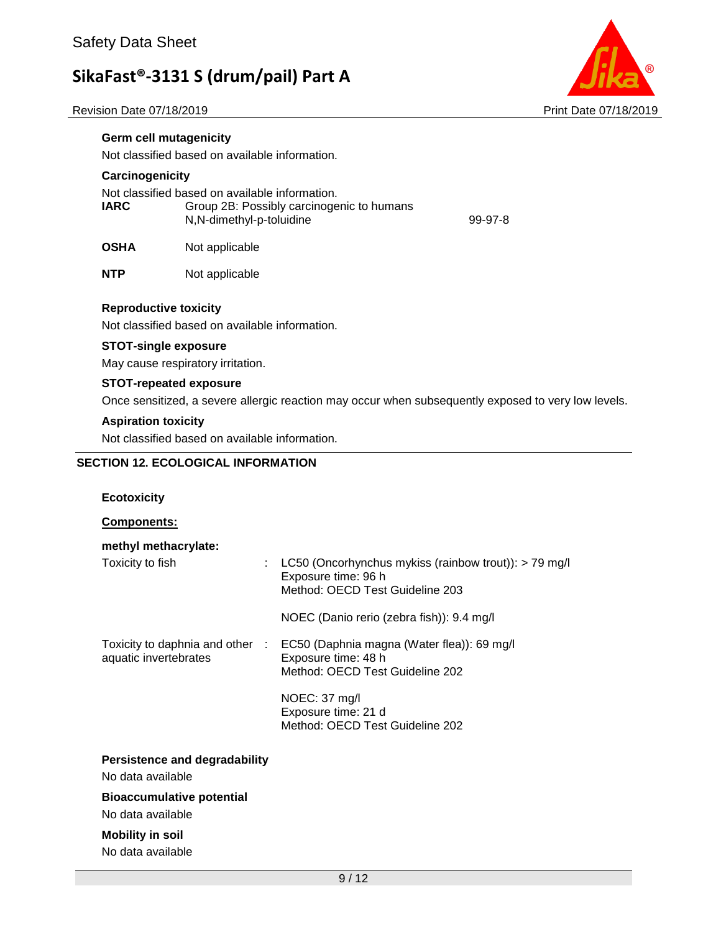Revision Date 07/18/2019 **Print Date 07/18/2019** Print Date 07/18/2019



Not classified based on available information.

#### **Carcinogenicity**

**Germ cell mutagenicity**

Not classified based on available information. **IARC** Group 2B: Possibly carcinogenic to humans N,N-dimethyl-p-toluidine 99-97-8

**OSHA** Not applicable

**NTP** Not applicable

#### **Reproductive toxicity**

Not classified based on available information.

### **STOT-single exposure**

May cause respiratory irritation.

#### **STOT-repeated exposure**

Once sensitized, a severe allergic reaction may occur when subsequently exposed to very low levels.

#### **Aspiration toxicity**

Not classified based on available information.

#### **SECTION 12. ECOLOGICAL INFORMATION**

#### **Ecotoxicity**

**Components:**

| methyl methacrylate:                                     |                                                                                                                                                                |
|----------------------------------------------------------|----------------------------------------------------------------------------------------------------------------------------------------------------------------|
| Toxicity to fish<br>÷                                    | LC50 (Oncorhynchus mykiss (rainbow trout)): $>$ 79 mg/l<br>Exposure time: 96 h<br>Method: OECD Test Guideline 203<br>NOEC (Danio rerio (zebra fish)): 9.4 mg/l |
|                                                          |                                                                                                                                                                |
| Toxicity to daphnia and other :<br>aquatic invertebrates | EC50 (Daphnia magna (Water flea)): 69 mg/l<br>Exposure time: 48 h<br>Method: OECD Test Guideline 202                                                           |
|                                                          | $NOEC: 37$ mg/l<br>Exposure time: 21 d<br>Method: OECD Test Guideline 202                                                                                      |
| Persistence and degradability                            |                                                                                                                                                                |
| No data available                                        |                                                                                                                                                                |
| <b>Bioaccumulative potential</b>                         |                                                                                                                                                                |
| No data available                                        |                                                                                                                                                                |

# **Mobility in soil**

No data available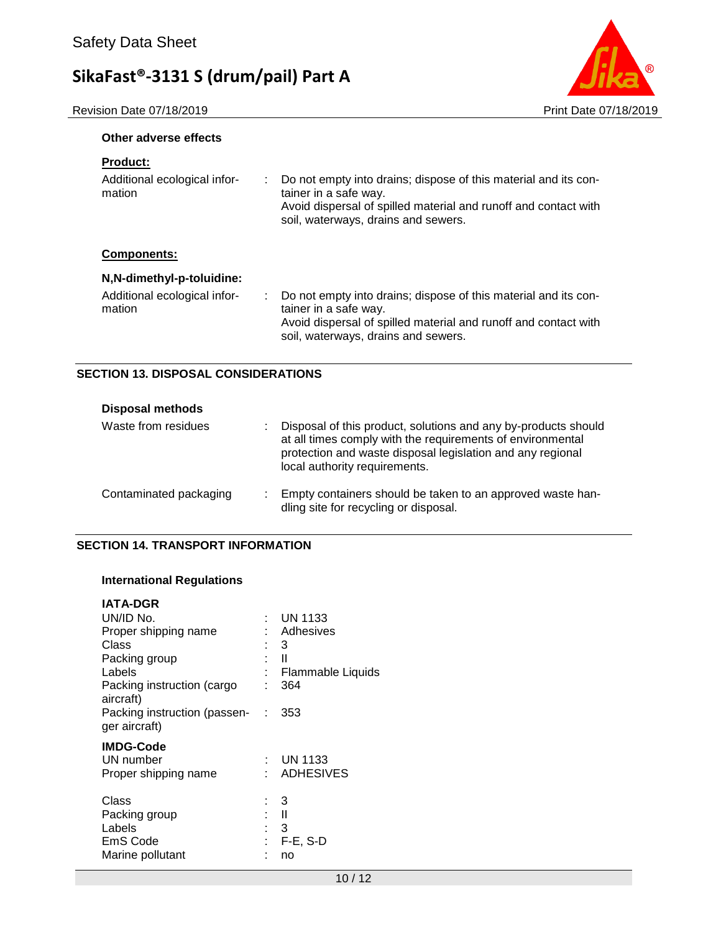Revision Date 07/18/2019 **Print Date 07/18/2019** 



### **Other adverse effects**

| Do not empty into drains; dispose of this material and its con-<br>tainer in a safe way.<br>Avoid dispersal of spilled material and runoff and contact with<br>soil, waterways, drains and sewers. |
|----------------------------------------------------------------------------------------------------------------------------------------------------------------------------------------------------|
|                                                                                                                                                                                                    |
|                                                                                                                                                                                                    |
| Do not empty into drains; dispose of this material and its con-<br>tainer in a safe way.                                                                                                           |
| Avoid dispersal of spilled material and runoff and contact with<br>soil, waterways, drains and sewers.                                                                                             |
|                                                                                                                                                                                                    |

### **SECTION 13. DISPOSAL CONSIDERATIONS**

| <b>Disposal methods</b> |   |                                                                                                                                                                                                                             |
|-------------------------|---|-----------------------------------------------------------------------------------------------------------------------------------------------------------------------------------------------------------------------------|
| Waste from residues     | ٠ | Disposal of this product, solutions and any by-products should<br>at all times comply with the requirements of environmental<br>protection and waste disposal legislation and any regional<br>local authority requirements. |
| Contaminated packaging  | ÷ | Empty containers should be taken to an approved waste han-<br>dling site for recycling or disposal.                                                                                                                         |

### **SECTION 14. TRANSPORT INFORMATION**

# **International Regulations**

| <b>IATA-DGR</b>                                                  |   |                                                       |
|------------------------------------------------------------------|---|-------------------------------------------------------|
| UN/ID No.                                                        |   | <b>UN 1133</b>                                        |
| Proper shipping name                                             |   | : Adhesives                                           |
| Class                                                            |   | : 3                                                   |
| Packing group                                                    |   | - 11                                                  |
| Labels                                                           |   | <b>Flammable Liquids</b>                              |
| Packing instruction (cargo<br>aircraft)                          |   | 364                                                   |
| Packing instruction (passen- : 353<br>ger aircraft)              |   |                                                       |
| <b>IMDG-Code</b><br>UN number<br>Proper shipping name            |   | $:$ UN 1133<br>: ADHESIVES                            |
| Class<br>Packing group<br>Labels<br>EmS Code<br>Marine pollutant | t | - 3<br>$\blacksquare$<br>: 3<br><b>F-E, S-D</b><br>no |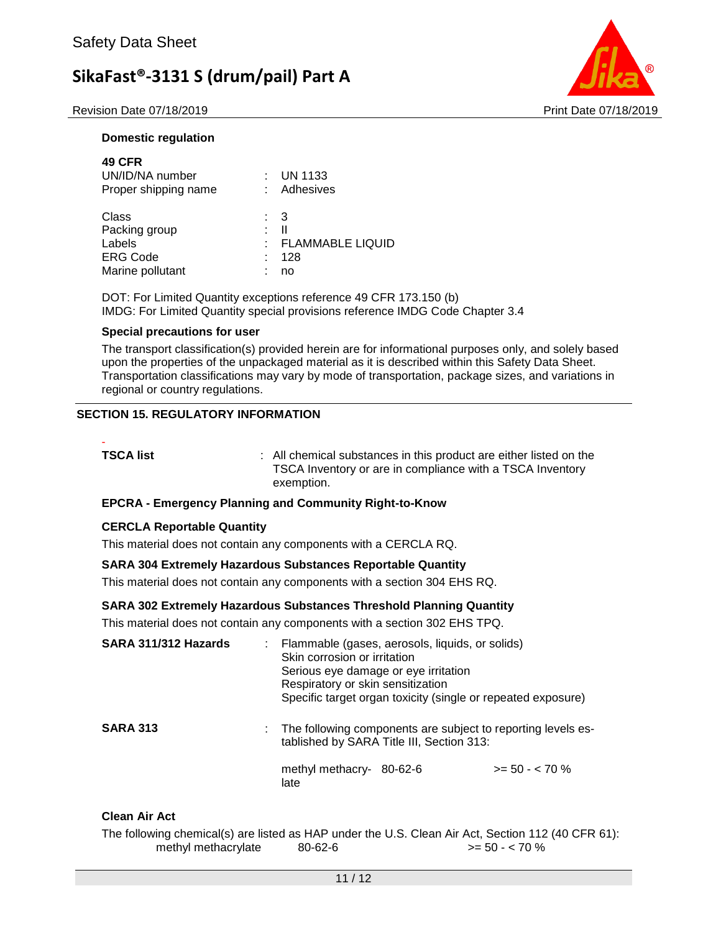Revision Date 07/18/2019 **Print Date 07/18/2019** Print Date 07/18/2019



#### **Domestic regulation**

| <b>49 CFR</b><br>UN/ID/NA number<br>Proper shipping name                |                | $\therefore$ UN 1133<br>: Adhesives       |
|-------------------------------------------------------------------------|----------------|-------------------------------------------|
| Class<br>Packing group<br>Labels<br><b>ERG Code</b><br>Marine pollutant | : 3<br>÷<br>t. | Ш<br><b>FLAMMABLE LIQUID</b><br>128<br>no |

DOT: For Limited Quantity exceptions reference 49 CFR 173.150 (b) IMDG: For Limited Quantity special provisions reference IMDG Code Chapter 3.4

#### **Special precautions for user**

The transport classification(s) provided herein are for informational purposes only, and solely based upon the properties of the unpackaged material as it is described within this Safety Data Sheet. Transportation classifications may vary by mode of transportation, package sizes, and variations in regional or country regulations.

### **SECTION 15. REGULATORY INFORMATION**

-

**TSCA list EXECA list 1 COLLEGAT COLLEGAT EXECUTE:** All chemical substances in this product are either listed on the TSCA Inventory or are in compliance with a TSCA Inventory exemption.

#### **EPCRA - Emergency Planning and Community Right-to-Know**

#### **CERCLA Reportable Quantity**

This material does not contain any components with a CERCLA RQ.

#### **SARA 304 Extremely Hazardous Substances Reportable Quantity**

This material does not contain any components with a section 304 EHS RQ.

#### **SARA 302 Extremely Hazardous Substances Threshold Planning Quantity**

This material does not contain any components with a section 302 EHS TPQ.

| SARA 311/312 Hazards | Flammable (gases, aerosols, liquids, or solids)<br>Skin corrosion or irritation<br>Serious eye damage or eye irritation<br>Respiratory or skin sensitization<br>Specific target organ toxicity (single or repeated exposure) |                 |
|----------------------|------------------------------------------------------------------------------------------------------------------------------------------------------------------------------------------------------------------------------|-----------------|
| <b>SARA 313</b>      | : The following components are subject to reporting levels es-<br>tablished by SARA Title III, Section 313:<br>methyl methacry-<br>80-62-6<br>late                                                                           | $>= 50 - 570 %$ |
|                      |                                                                                                                                                                                                                              |                 |

#### **Clean Air Act**

The following chemical(s) are listed as HAP under the U.S. Clean Air Act, Section 112 (40 CFR 61): methyl methacrylate  $80-62-6$   $> 50 - <70$  %